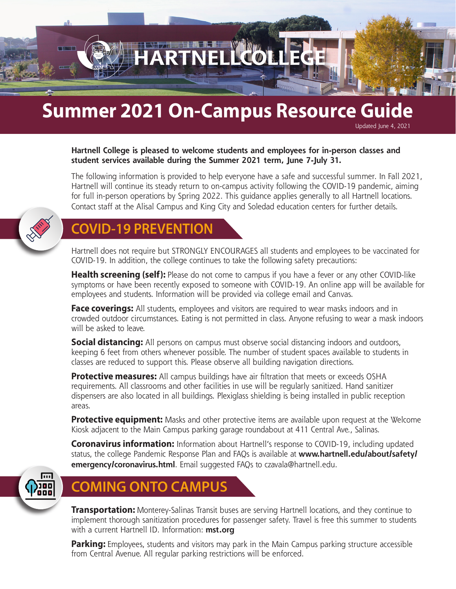# **Summer 2021 On-Campus Resource Guide**

#### **Hartnell College is pleased to welcome students and employees for in-person classes and student services available during the Summer 2021 term, June 7-July 31.**

The following information is provided to help everyone have a safe and successful summer. In Fall 2021, Hartnell will continue its steady return to on-campus activity following the COVID-19 pandemic, aiming for full in-person operations by Spring 2022. This guidance applies generally to all Hartnell locations. Contact staff at the Alisal Campus and King City and Soledad education centers for further details.

Updated June 4, 2021



#### **COVID-19 PREVENTION**

Hartnell does not require but STRONGLY ENCOURAGES all students and employees to be vaccinated for COVID-19. In addition, the college continues to take the following safety precautions:

**Health screening (self):** Please do not come to campus if you have a fever or any other COVID-like symptoms or have been recently exposed to someone with COVID-19. An online app will be available for employees and students. Information will be provided via college email and Canvas.

**Face coverings:** All students, employees and visitors are required to wear masks indoors and in crowded outdoor circumstances. Eating is not permitted in class. Anyone refusing to wear a mask indoors will be asked to leave.

**Social distancing:** All persons on campus must observe social distancing indoors and outdoors, keeping 6 feet from others whenever possible. The number of student spaces available to students in classes are reduced to support this. Please observe all building navigation directions.

**Protective measures:** All campus buildings have air filtration that meets or exceeds OSHA requirements. All classrooms and other facilities in use will be regularly sanitized. Hand sanitizer dispensers are also located in all buildings. Plexiglass shielding is being installed in public reception areas.

**Protective equipment:** Masks and other protective items are available upon request at the Welcome Kiosk adjacent to the Main Campus parking garage roundabout at 411 Central Ave., Salinas.

**Coronavirus information:** Information about Hartnell's response to COVID-19, including updated status, the college Pandemic Response Plan and FAQs is available at **www.hartnell.edu/about/safety/ emergency/coronavirus.html**. Email suggested FAQs to czavala@hartnell.edu.



### **COMING ONTO CAMPUS**

**Transportation:** Monterey-Salinas Transit buses are serving Hartnell locations, and they continue to implement thorough sanitization procedures for passenger safety. Travel is free this summer to students with a current Hartnell ID. Information: **mst.org**

**Parking:** Employees, students and visitors may park in the Main Campus parking structure accessible from Central Avenue. All regular parking restrictions will be enforced.